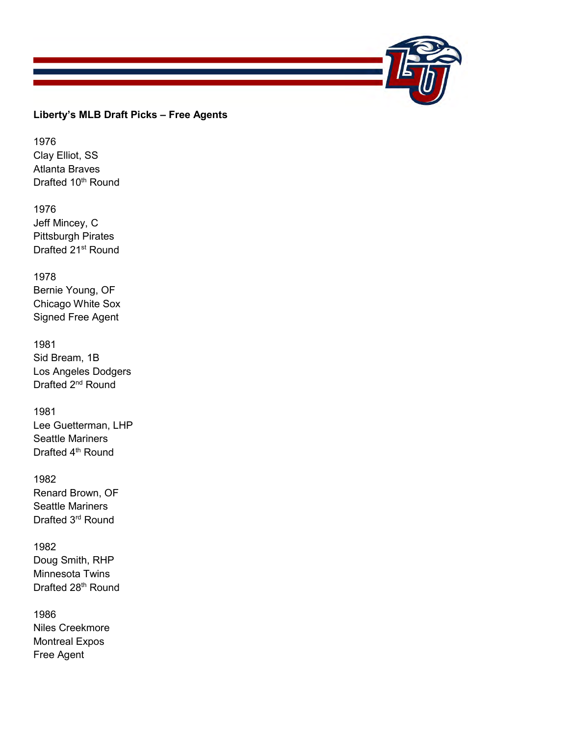## **Liberty's MLB Draft Picks – Free Agents**

1976 Clay Elliot, SS Atlanta Braves Drafted 10<sup>th</sup> Round

1976 Jeff Mincey, C Pittsburgh Pirates Drafted 21<sup>st</sup> Round

1978 Bernie Young, OF Chicago White Sox Signed Free Agent

1981 Sid Bream, 1B Los Angeles Dodgers Drafted 2<sup>nd</sup> Round

1981 Lee Guetterman, LHP Seattle Mariners Drafted 4<sup>th</sup> Round

1982 Renard Brown, OF Seattle Mariners Drafted 3<sup>rd</sup> Round

1982 Doug Smith, RHP Minnesota Twins Drafted 28<sup>th</sup> Round

1986 Niles Creekmore Montreal Expos Free Agent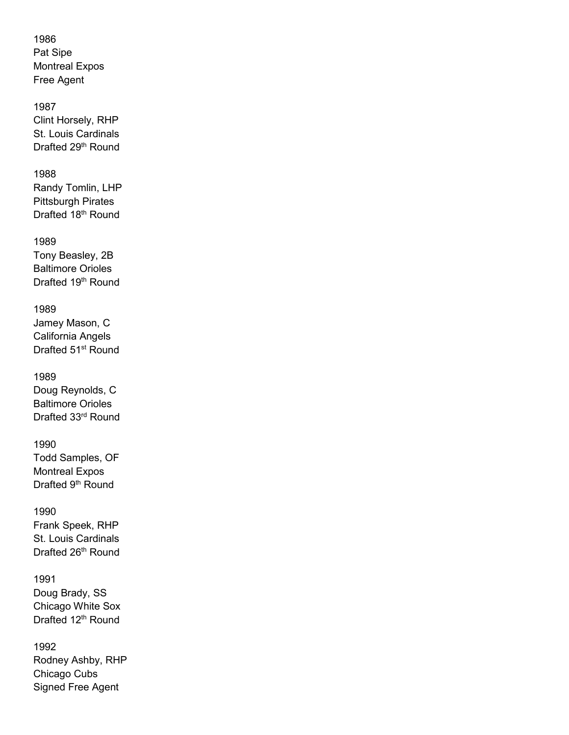1986 Pat Sipe Montreal Expos Free Agent

1987 Clint Horsely, RHP St. Louis Cardinals Drafted 29<sup>th</sup> Round

1988 Randy Tomlin, LHP Pittsburgh Pirates Drafted 18<sup>th</sup> Round

1989 Tony Beasley, 2B Baltimore Orioles Drafted 19<sup>th</sup> Round

1989 Jamey Mason, C California Angels Drafted 51<sup>st</sup> Round

1989 Doug Reynolds, C Baltimore Orioles Drafted 33rd Round

1990 Todd Samples, OF Montreal Expos Drafted 9<sup>th</sup> Round

1990 Frank Speek, RHP St. Louis Cardinals Drafted 26<sup>th</sup> Round

1991 Doug Brady, SS Chicago White Sox Drafted 12<sup>th</sup> Round

1992 Rodney Ashby, RHP Chicago Cubs Signed Free Agent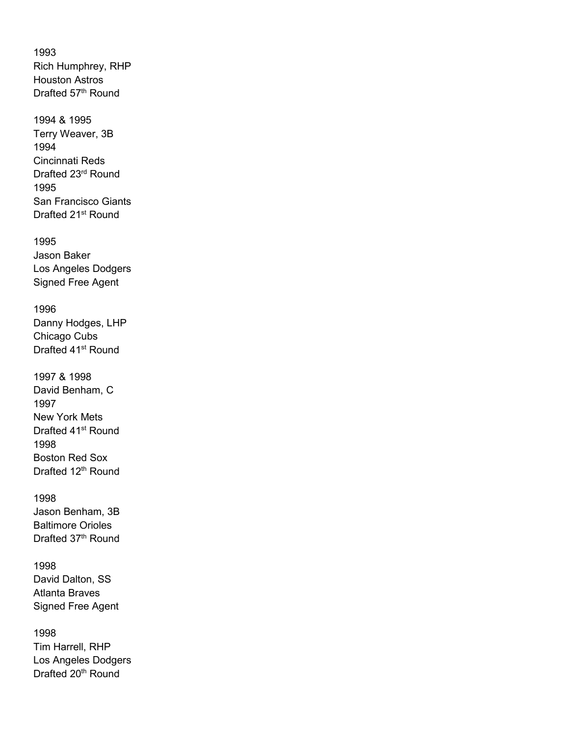1993 Rich Humphrey, RHP Houston Astros Drafted 57<sup>th</sup> Round

1994 & 1995 Terry Weaver, 3B 1994 Cincinnati Reds Drafted 23<sup>rd</sup> Round 1995 San Francisco Giants Drafted 21<sup>st</sup> Round

1995 Jason Baker Los Angeles Dodgers Signed Free Agent

1996 Danny Hodges, LHP Chicago Cubs Drafted 41<sup>st</sup> Round

1997 & 1998 David Benham, C 1997 New York Mets Drafted 41<sup>st</sup> Round 1998 Boston Red Sox Drafted 12<sup>th</sup> Round

1998 Jason Benham, 3B Baltimore Orioles Drafted 37<sup>th</sup> Round

1998 David Dalton, SS Atlanta Braves Signed Free Agent

1998 Tim Harrell, RHP Los Angeles Dodgers Drafted 20<sup>th</sup> Round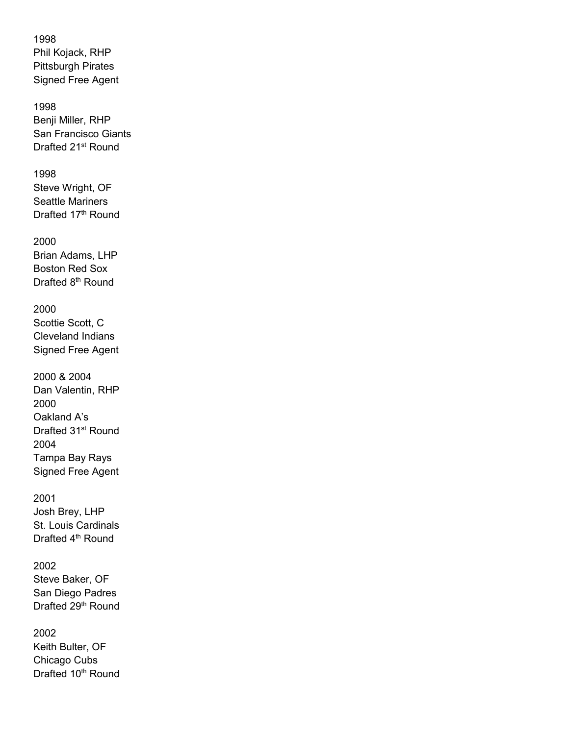1998 Phil Kojack, RHP Pittsburgh Pirates Signed Free Agent

1998 Benji Miller, RHP San Francisco Giants Drafted 21<sup>st</sup> Round

1998 Steve Wright, OF Seattle Mariners Drafted 17<sup>th</sup> Round

2000 Brian Adams, LHP Boston Red Sox Drafted 8<sup>th</sup> Round

2000 Scottie Scott, C Cleveland Indians Signed Free Agent

2000 & 2004 Dan Valentin, RHP 2000 Oakland A's Drafted 31<sup>st</sup> Round 2004 Tampa Bay Rays Signed Free Agent

2001 Josh Brey, LHP St. Louis Cardinals Drafted 4<sup>th</sup> Round

2002 Steve Baker, OF San Diego Padres Drafted 29<sup>th</sup> Round

2002 Keith Bulter, OF Chicago Cubs Drafted 10<sup>th</sup> Round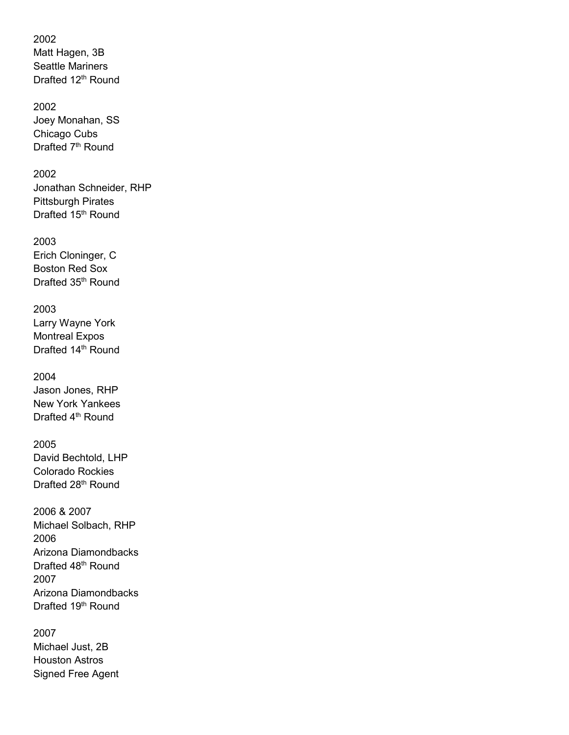2002 Matt Hagen, 3B Seattle Mariners Drafted 12<sup>th</sup> Round

2002 Joey Monahan, SS Chicago Cubs Drafted 7<sup>th</sup> Round

2002 Jonathan Schneider, RHP Pittsburgh Pirates Drafted 15<sup>th</sup> Round

2003 Erich Cloninger, C Boston Red Sox Drafted 35<sup>th</sup> Round

2003 Larry Wayne York Montreal Expos Drafted 14th Round

2004 Jason Jones, RHP New York Yankees Drafted 4<sup>th</sup> Round

2005 David Bechtold, LHP Colorado Rockies Drafted 28<sup>th</sup> Round

2006 & 2007 Michael Solbach, RHP 2006 Arizona Diamondbacks Drafted 48<sup>th</sup> Round 2007 Arizona Diamondbacks Drafted 19<sup>th</sup> Round

2007 Michael Just, 2B Houston Astros Signed Free Agent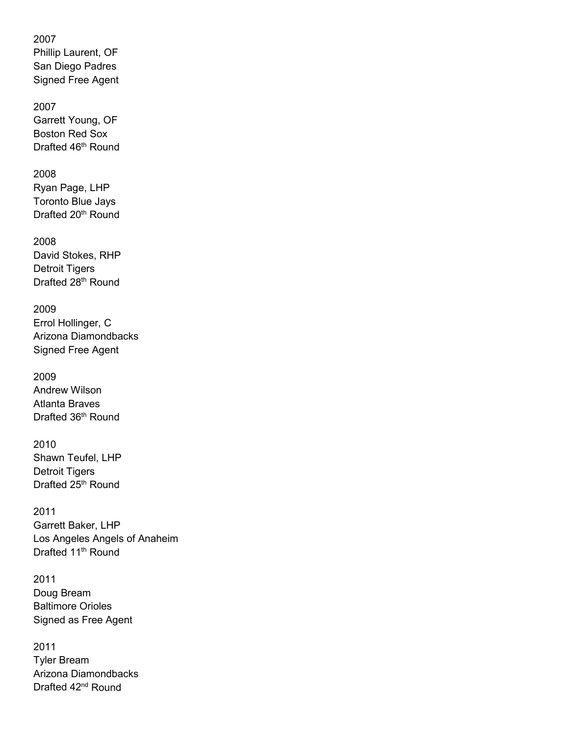2007 Phillip Laurent, OF San Diego Padres Signed Free Agent

2007 Garrett Young, OF Boston Red Sox Drafted 46<sup>th</sup> Round

2008 Ryan Page, LHP Toronto Blue Jays Drafted 20<sup>th</sup> Round

2008 David Stokes, RHP Detroit Tigers Drafted 28<sup>th</sup> Round

2009 Errol Hollinger, C Arizona Diamondbacks Signed Free Agent

2009 Andrew Wilson Atlanta Braves Drafted 36<sup>th</sup> Round

2010 Shawn Teufel, LHP Detroit Tigers Drafted 25<sup>th</sup> Round

2011 Garrett Baker, LHP Los Angeles Angels of Anaheim Drafted 11<sup>th</sup> Round

2011 Doug Bream Baltimore Orioles Signed as Free Agent

2011 Tyler Bream Arizona Diamondbacks Drafted 42<sup>nd</sup> Round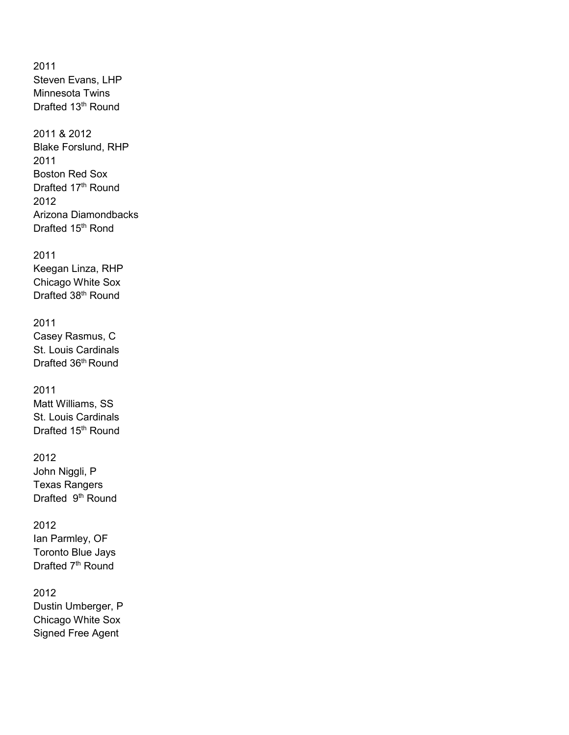2011 Steven Evans, LHP Minnesota Twins Drafted 13<sup>th</sup> Round

2011 & 2012 Blake Forslund, RHP 2011 Boston Red Sox Drafted 17<sup>th</sup> Round 2012 Arizona Diamondbacks Drafted 15<sup>th</sup> Rond

2011 Keegan Linza, RHP Chicago White Sox Drafted 38<sup>th</sup> Round

2011 Casey Rasmus, C St. Louis Cardinals Drafted 36<sup>th</sup> Round

2011 Matt Williams, SS St. Louis Cardinals Drafted 15<sup>th</sup> Round

2012 John Niggli, P Texas Rangers Drafted 9<sup>th</sup> Round

2012 Ian Parmley, OF Toronto Blue Jays Drafted 7<sup>th</sup> Round

2012 Dustin Umberger, P Chicago White Sox Signed Free Agent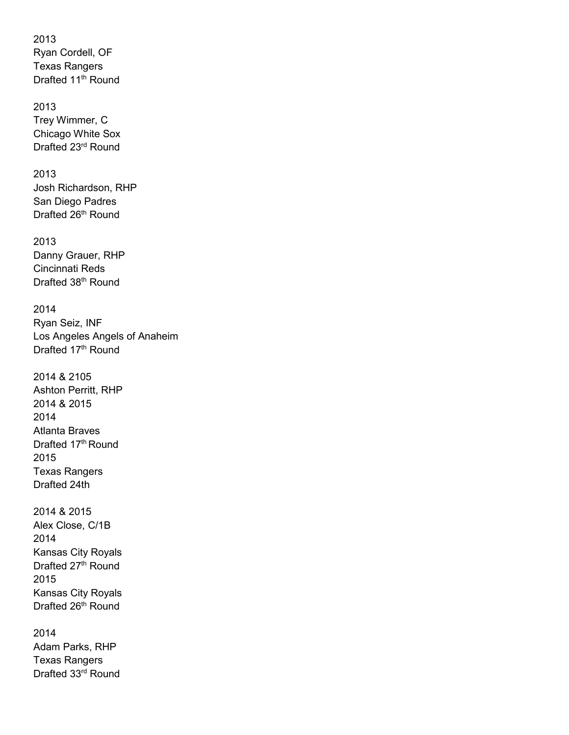2013 Ryan Cordell, OF Texas Rangers Drafted 11<sup>th</sup> Round

2013 Trey Wimmer, C Chicago White Sox Drafted 23<sup>rd</sup> Round

2013 Josh Richardson, RHP San Diego Padres Drafted 26<sup>th</sup> Round

2013 Danny Grauer, RHP Cincinnati Reds Drafted 38<sup>th</sup> Round

2014 Ryan Seiz, INF Los Angeles Angels of Anaheim Drafted 17th Round

2014 & 2105 Ashton Perritt, RHP 2014 & 2015 2014 Atlanta Braves Drafted 17<sup>th</sup> Round 2015 Texas Rangers Drafted 24th

2014 & 2015 Alex Close, C/1B 2014 Kansas City Royals Drafted 27<sup>th</sup> Round 2015 Kansas City Royals Drafted 26<sup>th</sup> Round

2014 Adam Parks, RHP Texas Rangers Drafted 33rd Round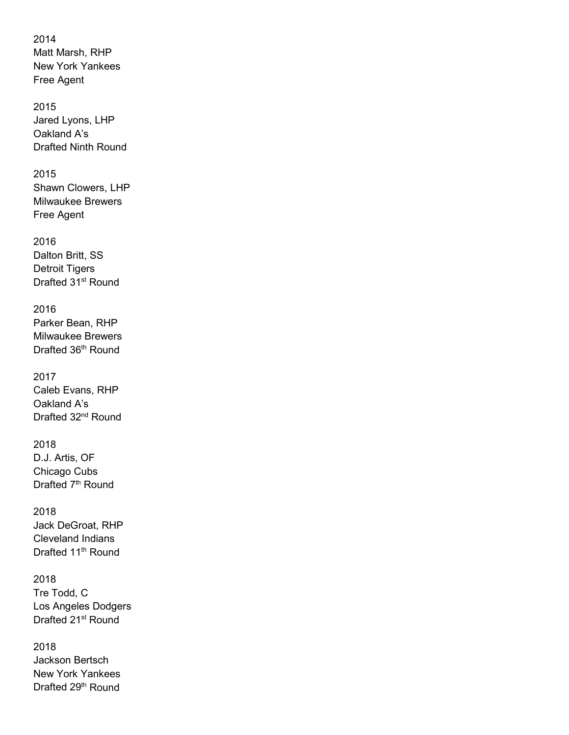2014 Matt Marsh, RHP New York Yankees Free Agent

2015 Jared Lyons, LHP Oakland A's Drafted Ninth Round

2015 Shawn Clowers, LHP Milwaukee Brewers Free Agent

2016 Dalton Britt, SS Detroit Tigers Drafted 31<sup>st</sup> Round

2016 Parker Bean, RHP Milwaukee Brewers Drafted 36<sup>th</sup> Round

2017 Caleb Evans, RHP Oakland A's Drafted 32<sup>nd</sup> Round

2018 D.J. Artis, OF Chicago Cubs Drafted 7<sup>th</sup> Round

2018 Jack DeGroat, RHP Cleveland Indians Drafted 11<sup>th</sup> Round

2018 Tre Todd, C Los Angeles Dodgers Drafted 21<sup>st</sup> Round

2018 Jackson Bertsch New York Yankees Drafted 29<sup>th</sup> Round